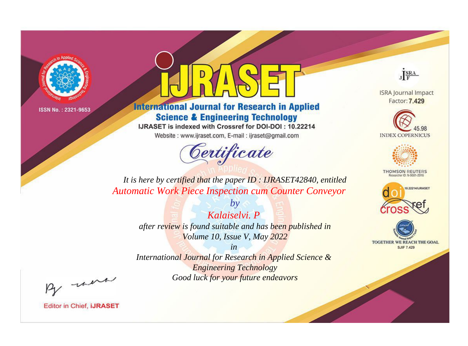

# **International Journal for Research in Applied Science & Engineering Technology**

IJRASET is indexed with Crossref for DOI-DOI: 10.22214

Website: www.ijraset.com, E-mail: ijraset@gmail.com



JERA

**ISRA Journal Impact** Factor: 7.429





**THOMSON REUTERS** 



TOGETHER WE REACH THE GOAL **SJIF 7.429** 

*It is here by certified that the paper ID : IJRASET42840, entitled Automatic Work Piece Inspection cum Counter Conveyor*

> *by Kalaiselvi. P after review is found suitable and has been published in Volume 10, Issue V, May 2022*

> > *in*

*International Journal for Research in Applied Science & Engineering Technology Good luck for your future endeavors*

By morn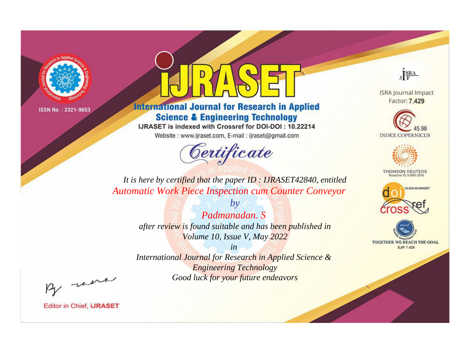

# **International Journal for Research in Applied Science & Engineering Technology**

IJRASET is indexed with Crossref for DOI-DOI: 10.22214

Website: www.ijraset.com, E-mail: ijraset@gmail.com



JERA

**ISRA Journal Impact** Factor: 7.429





**THOMSON REUTERS** 



TOGETHER WE REACH THE GOAL **SJIF 7.429** 

*It is here by certified that the paper ID : IJRASET42840, entitled Automatic Work Piece Inspection cum Counter Conveyor*

> *by Padmanadan. S after review is found suitable and has been published in Volume 10, Issue V, May 2022*

> > *in*

*International Journal for Research in Applied Science & Engineering Technology Good luck for your future endeavors*

By morn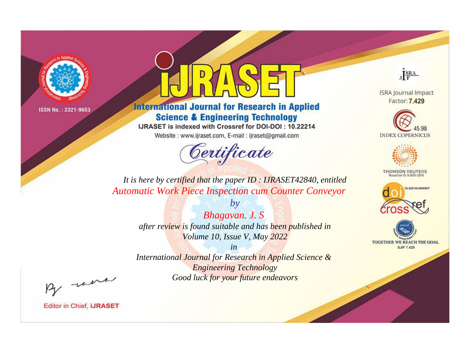

# **International Journal for Research in Applied Science & Engineering Technology**

IJRASET is indexed with Crossref for DOI-DOI: 10.22214

Website: www.ijraset.com, E-mail: ijraset@gmail.com



JERA

**ISRA Journal Impact** Factor: 7.429





**THOMSON REUTERS** 



TOGETHER WE REACH THE GOAL **SJIF 7.429** 

*It is here by certified that the paper ID : IJRASET42840, entitled Automatic Work Piece Inspection cum Counter Conveyor*

> *by Bhagavan. J. S after review is found suitable and has been published in Volume 10, Issue V, May 2022*

> > *in*

*International Journal for Research in Applied Science & Engineering Technology Good luck for your future endeavors*

By morn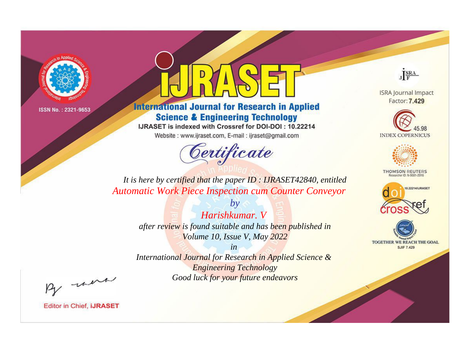

# **International Journal for Research in Applied Science & Engineering Technology**

IJRASET is indexed with Crossref for DOI-DOI: 10.22214

Website: www.ijraset.com, E-mail: ijraset@gmail.com



JERA

**ISRA Journal Impact** Factor: 7.429





**THOMSON REUTERS** 



TOGETHER WE REACH THE GOAL **SJIF 7.429** 

*It is here by certified that the paper ID : IJRASET42840, entitled Automatic Work Piece Inspection cum Counter Conveyor*

> *by Harishkumar. V after review is found suitable and has been published in Volume 10, Issue V, May 2022*

> > *in*

*International Journal for Research in Applied Science & Engineering Technology Good luck for your future endeavors*

By morn